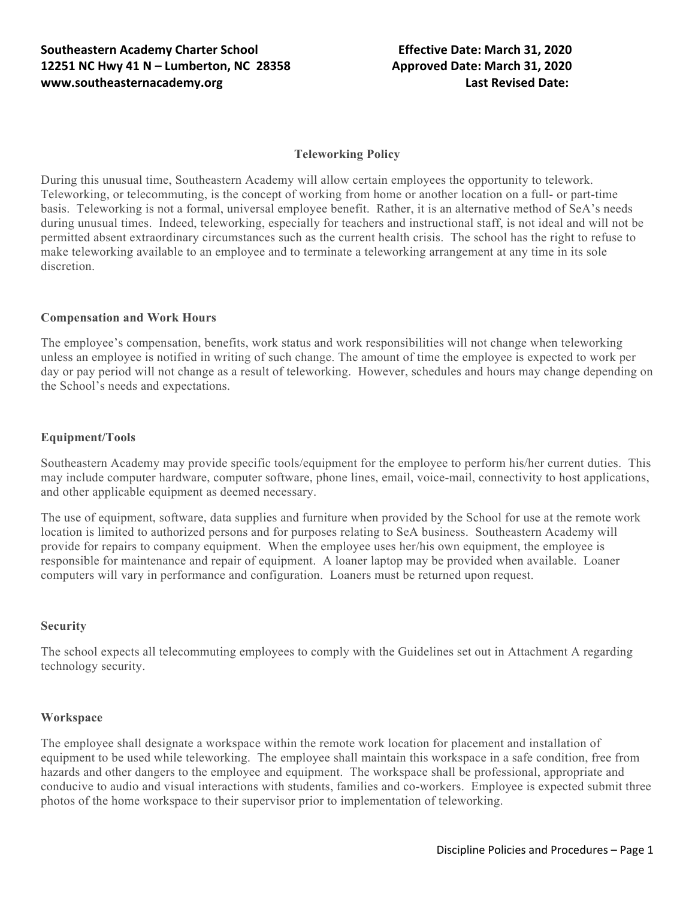## **Teleworking Policy**

During this unusual time, Southeastern Academy will allow certain employees the opportunity to telework. Teleworking, or telecommuting, is the concept of working from home or another location on a full- or part-time basis. Teleworking is not a formal, universal employee benefit. Rather, it is an alternative method of SeA's needs during unusual times. Indeed, teleworking, especially for teachers and instructional staff, is not ideal and will not be permitted absent extraordinary circumstances such as the current health crisis. The school has the right to refuse to make teleworking available to an employee and to terminate a teleworking arrangement at any time in its sole discretion.

## **Compensation and Work Hours**

The employee's compensation, benefits, work status and work responsibilities will not change when teleworking unless an employee is notified in writing of such change. The amount of time the employee is expected to work per day or pay period will not change as a result of teleworking. However, schedules and hours may change depending on the School's needs and expectations.

### **Equipment/Tools**

Southeastern Academy may provide specific tools/equipment for the employee to perform his/her current duties. This may include computer hardware, computer software, phone lines, email, voice-mail, connectivity to host applications, and other applicable equipment as deemed necessary.

The use of equipment, software, data supplies and furniture when provided by the School for use at the remote work location is limited to authorized persons and for purposes relating to SeA business. Southeastern Academy will provide for repairs to company equipment. When the employee uses her/his own equipment, the employee is responsible for maintenance and repair of equipment. A loaner laptop may be provided when available. Loaner computers will vary in performance and configuration. Loaners must be returned upon request.

### **Security**

The school expects all telecommuting employees to comply with the Guidelines set out in Attachment A regarding technology security.

### **Workspace**

The employee shall designate a workspace within the remote work location for placement and installation of equipment to be used while teleworking. The employee shall maintain this workspace in a safe condition, free from hazards and other dangers to the employee and equipment. The workspace shall be professional, appropriate and conducive to audio and visual interactions with students, families and co-workers. Employee is expected submit three photos of the home workspace to their supervisor prior to implementation of teleworking.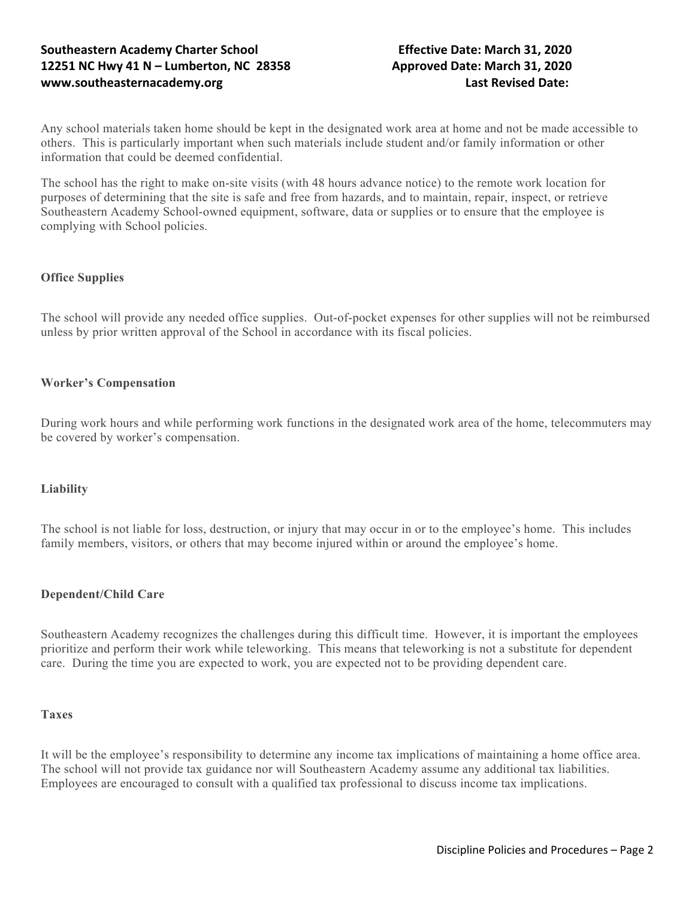# **Southeastern Academy Charter School Effective Date: March 31, 2020 12251 NC Hwy 41 N – Lumberton, NC 28358 Approved Date: March 31, 2020 www.southeasternacademy.org Last Revised Date:**

Any school materials taken home should be kept in the designated work area at home and not be made accessible to others. This is particularly importantwhen such materials include student and/or family information or other information that could be deemed confidential.

The school has the right to make on-site visits (with 48 hours advance notice) to the remote work location for purposes of determining that the site issafe and free from hazards, and to maintain, repair, inspect, or retrieve Southeastern Academy School-owned equipment, software, data or supplies or to ensure that the employee is complying with School policies.

## **Office Supplies**

The school will provide any needed office supplies. Out-of-pocket expenses for other supplies will not be reimbursed unless by prior written approval of the Schoolin accordance with its fiscal policies.

## **Worker's Compensation**

During work hours and while performing work functions in the designated work area of the home, telecommuters may be covered by worker's compensation.

## **Liability**

The school is not liable for loss, destruction, or injury that may occur in or to the employee's home. This includes family members, visitors, or others that may become injured within or around the employee's home.

### **Dependent/Child Care**

Southeastern Academy recognizes the challenges during this difficult time. However, it is important the employees prioritize and perform their work while teleworking. This means that teleworking is not a substitute for dependent care. During the time you are expected to work, you are expected not to be providing dependent care.

### **Taxes**

It will be the employee's responsibility to determine any income tax implications of maintaining a home office area. The school will not provide tax guidance nor will Southeastern Academy assume any additional tax liabilities. Employees are encouraged to consult with a qualified tax professional to discuss income tax implications.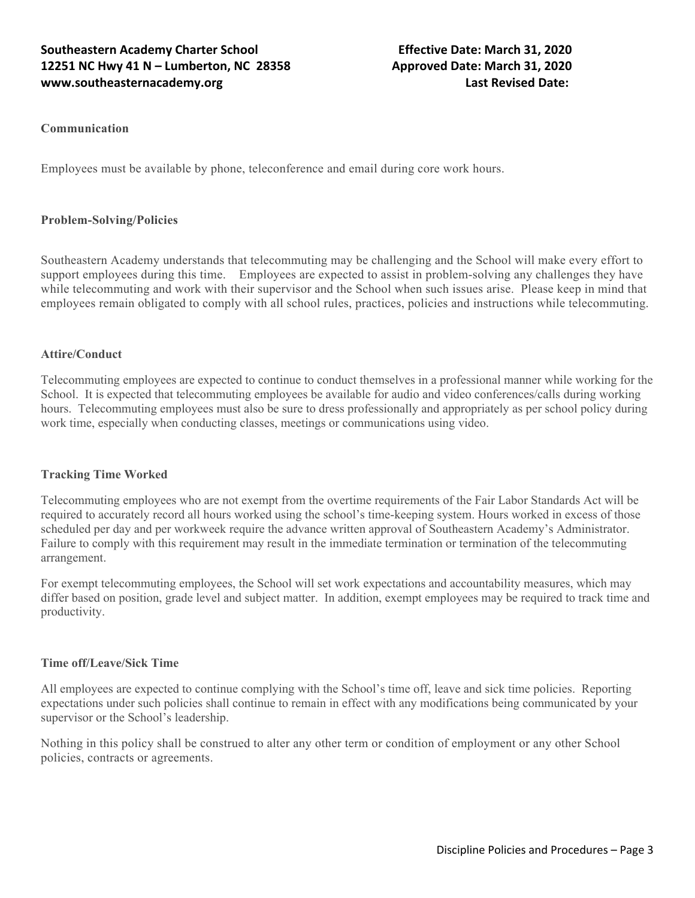# **Southeastern Academy Charter School Effective Date: March 31, 2020 12251 NC Hwy 41 N – Lumberton, NC 28358 Approved Date: March 31, 2020 www.southeasternacademy.org Last Revised Date:**

## **Communication**

Employees must be available by phone, teleconference and email during core work hours.

## **Problem-Solving/Policies**

Southeastern Academy understands that telecommuting may be challenging and the School will make every effort to support employees during this time. Employees are expected to assist in problem-solving any challenges they have while telecommuting and work with their supervisor and the School when such issues arise. Please keep in mind that employees remain obligated to comply with all school rules, practices, policies and instructions while telecommuting.

## **Attire/Conduct**

Telecommuting employees are expected to continue to conduct themselves in a professional manner while working for the School. It is expected that telecommuting employees be available for audio and video conferences/calls during working hours. Telecommuting employees must also be sure to dress professionally and appropriately as per school policy during work time, especially when conducting classes, meetings or communications using video.

### **Tracking Time Worked**

Telecommuting employees who are not exempt from the overtime requirements of the Fair Labor Standards Act will be required to accurately record all hours worked using the school's time-keeping system. Hours worked in excess of those scheduled per day and per workweek require the advance written approval of Southeastern Academy's Administrator. Failure to comply with this requirement may result in the immediate termination or termination of the telecommuting arrangement.

For exempt telecommuting employees, the School will set work expectations and accountability measures, which may differ based on position, grade level and subject matter. In addition, exempt employees may be required to track time and productivity.

### **Time off/Leave/Sick Time**

All employees are expected to continue complying with the School's time off, leave and sick time policies. Reporting expectations under such policies shall continue to remain in effect with any modifications being communicated by your supervisor or the School's leadership.

Nothing in this policy shall be construed to alterany other term or conditionof employment or any other School policies, contracts or agreements.